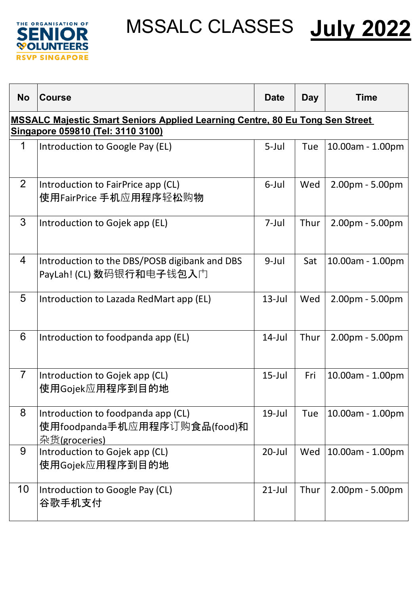



| <b>No</b>                                                                                                                | <b>Course</b>                                                                       | <b>Date</b> | <b>Day</b> | <b>Time</b>            |  |  |
|--------------------------------------------------------------------------------------------------------------------------|-------------------------------------------------------------------------------------|-------------|------------|------------------------|--|--|
| <b>MSSALC Majestic Smart Seniors Applied Learning Centre, 80 Eu Tong Sen Street</b><br>Singapore 059810 (Tel: 3110 3100) |                                                                                     |             |            |                        |  |  |
| 1                                                                                                                        | Introduction to Google Pay (EL)                                                     | $5$ -Jul    | Tue        | $10.00$ am - $1.00$ pm |  |  |
| 2                                                                                                                        | Introduction to FairPrice app (CL)<br>使用FairPrice 手机应用程序轻松购物                        | 6-Jul       | Wed        | 2.00pm - 5.00pm        |  |  |
| 3                                                                                                                        | Introduction to Gojek app (EL)                                                      | 7-Jul       | Thur       | 2.00pm - 5.00pm        |  |  |
| $\overline{4}$                                                                                                           | Introduction to the DBS/POSB digibank and DBS<br>PayLah! (CL) 数码银行和电子钱包入门           | $9$ -Jul    | Sat        | 10.00am - 1.00pm       |  |  |
| 5                                                                                                                        | Introduction to Lazada RedMart app (EL)                                             | $13$ -Jul   | Wed        | 2.00pm - 5.00pm        |  |  |
| 6                                                                                                                        | Introduction to foodpanda app (EL)                                                  | $14$ -Jul   | Thur       | 2.00pm - 5.00pm        |  |  |
| $\overline{7}$                                                                                                           | Introduction to Gojek app (CL)<br>使用Gojek应用程序到目的地                                   | $15$ -Jul   | Fri        | 10.00am - 1.00pm       |  |  |
| 8                                                                                                                        | Introduction to foodpanda app (CL)<br>使用foodpanda手机应用程序订购食品(food)和<br>杂货(groceries) | $19$ -Jul   | Tue        | 10.00am - 1.00pm       |  |  |
| 9                                                                                                                        | Introduction to Gojek app (CL)<br>使用Gojek应用程序到目的地                                   | $20$ -Jul   | Wed        | 10.00am - 1.00pm       |  |  |
| 10                                                                                                                       | Introduction to Google Pay (CL)<br>谷歌手机支付                                           | $21$ -Jul   | Thur       | 2.00pm - 5.00pm        |  |  |